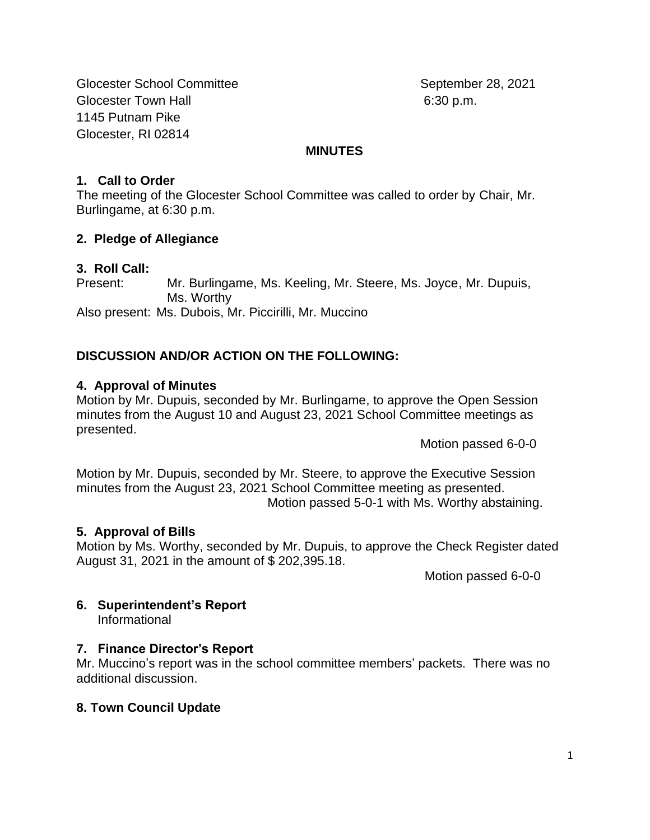Glocester School Committee September 28, 2021 Glocester Town Hall 6:30 p.m. 1145 Putnam Pike Glocester, RI 02814

#### **MINUTES**

# **1. Call to Order**

The meeting of the Glocester School Committee was called to order by Chair, Mr. Burlingame, at 6:30 p.m.

# **2. Pledge of Allegiance**

# **3. Roll Call:**

Present: Mr. Burlingame, Ms. Keeling, Mr. Steere, Ms. Joyce, Mr. Dupuis, Ms. Worthy Also present: Ms. Dubois, Mr. Piccirilli, Mr. Muccino

# **DISCUSSION AND/OR ACTION ON THE FOLLOWING:**

# **4. Approval of Minutes**

Motion by Mr. Dupuis, seconded by Mr. Burlingame, to approve the Open Session minutes from the August 10 and August 23, 2021 School Committee meetings as presented.

Motion passed 6-0-0

Motion by Mr. Dupuis, seconded by Mr. Steere, to approve the Executive Session minutes from the August 23, 2021 School Committee meeting as presented. Motion passed 5-0-1 with Ms. Worthy abstaining.

#### **5. Approval of Bills**

Motion by Ms. Worthy, seconded by Mr. Dupuis, to approve the Check Register dated August 31, 2021 in the amount of \$ 202,395.18.

Motion passed 6-0-0

# **6. Superintendent's Report**

Informational

# **7. Finance Director's Report**

Mr. Muccino's report was in the school committee members' packets. There was no additional discussion.

# **8. Town Council Update**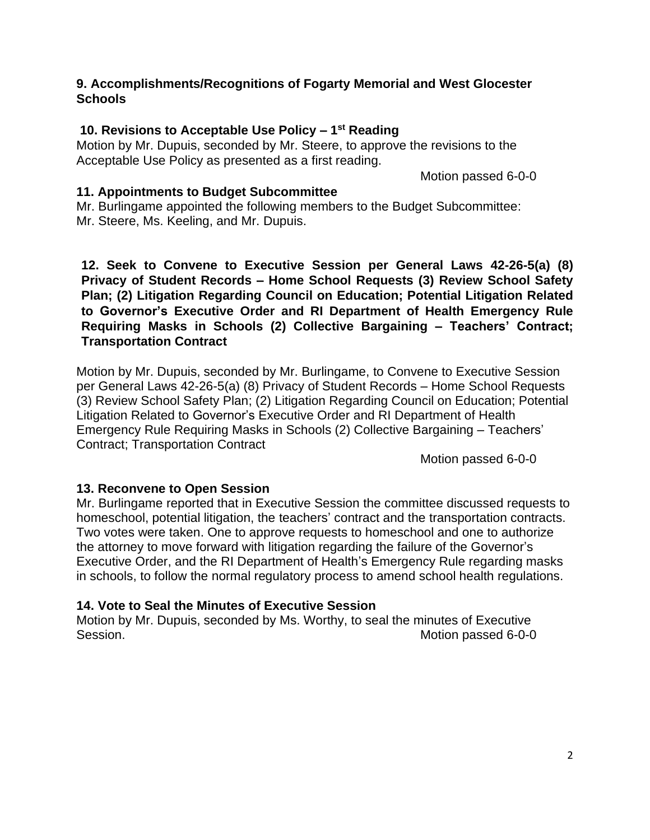# **9. Accomplishments/Recognitions of Fogarty Memorial and West Glocester Schools**

# **10. Revisions to Acceptable Use Policy – 1 st Reading**

Motion by Mr. Dupuis, seconded by Mr. Steere, to approve the revisions to the Acceptable Use Policy as presented as a first reading.

Motion passed 6-0-0

# **11. Appointments to Budget Subcommittee**

Mr. Burlingame appointed the following members to the Budget Subcommittee: Mr. Steere, Ms. Keeling, and Mr. Dupuis.

**12. Seek to Convene to Executive Session per General Laws 42-26-5(a) (8) Privacy of Student Records – Home School Requests (3) Review School Safety Plan; (2) Litigation Regarding Council on Education; Potential Litigation Related to Governor's Executive Order and RI Department of Health Emergency Rule Requiring Masks in Schools (2) Collective Bargaining – Teachers' Contract; Transportation Contract**

Motion by Mr. Dupuis, seconded by Mr. Burlingame, to Convene to Executive Session per General Laws 42-26-5(a) (8) Privacy of Student Records – Home School Requests (3) Review School Safety Plan; (2) Litigation Regarding Council on Education; Potential Litigation Related to Governor's Executive Order and RI Department of Health Emergency Rule Requiring Masks in Schools (2) Collective Bargaining – Teachers' Contract; Transportation Contract

Motion passed 6-0-0

# **13. Reconvene to Open Session**

Mr. Burlingame reported that in Executive Session the committee discussed requests to homeschool, potential litigation, the teachers' contract and the transportation contracts. Two votes were taken. One to approve requests to homeschool and one to authorize the attorney to move forward with litigation regarding the failure of the Governor's Executive Order, and the RI Department of Health's Emergency Rule regarding masks in schools, to follow the normal regulatory process to amend school health regulations.

# **14. Vote to Seal the Minutes of Executive Session**

Motion by Mr. Dupuis, seconded by Ms. Worthy, to seal the minutes of Executive Session. Session.